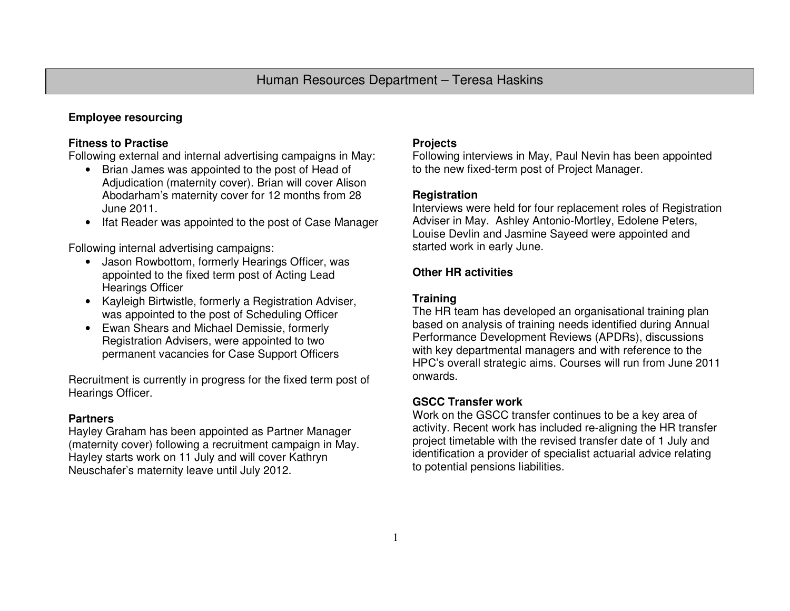# **Employee resourcing**

## **Fitness to Practise**

Following external and internal advertising campaigns in May:

- Brian James was appointed to the post of Head of Adjudication (maternity cover). Brian will cover Alison Abodarham's maternity cover for 12 months from 28 June 2011.
- Ifat Reader was appointed to the post of Case Manager

Following internal advertising campaigns:

- Jason Rowbottom, formerly Hearings Officer, was appointed to the fixed term post of Acting Lead Hearings Officer
- Kayleigh Birtwistle, formerly a Registration Adviser, was appointed to the post of Scheduling Officer
- Ewan Shears and Michael Demissie, formerly Registration Advisers, were appointed to two permanent vacancies for Case Support Officers

Recruitment is currently in progress for the fixed term post of Hearings Officer.

## **Partners**

 Hayley Graham has been appointed as Partner Manager (maternity cover) following a recruitment campaign in May. Hayley starts work on 11 July and will cover Kathryn Neuschafer's maternity leave until July 2012.

### **Projects**

 Following interviews in May, Paul Nevin has been appointed to the new fixed-term post of Project Manager.

### **Registration**

 Interviews were held for four replacement roles of Registration Adviser in May. Ashley Antonio-Mortley, Edolene Peters, Louise Devlin and Jasmine Sayeed were appointed andstarted work in early June.

## **Other HR activities**

### **Training**

 The HR team has developed an organisational training plan based on analysis of training needs identified during Annual Performance Development Reviews (APDRs), discussions with key departmental managers and with reference to the HPC's overall strategic aims. Courses will run from June 2011 onwards.

## **GSCC Transfer work**

 Work on the GSCC transfer continues to be a key area of activity. Recent work has included re-aligning the HR transfer project timetable with the revised transfer date of 1 July and identification a provider of specialist actuarial advice relating to potential pensions liabilities.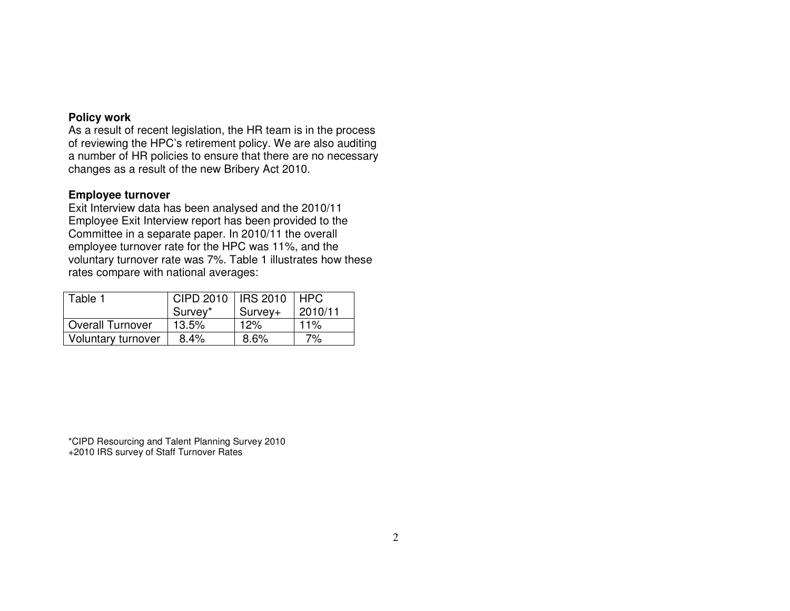### **Policy work**

 As a result of recent legislation, the HR team is in the process of reviewing the HPC's retirement policy. We are also auditing a number of HR policies to ensure that there are no necessary changes as a result of the new Bribery Act 2010.

#### **Employee turnover**

 Exit Interview data has been analysed and the 2010/11 Employee Exit Interview report has been provided to the Committee in a separate paper. In 2010/11 the overall employee turnover rate for the HPC was 11%, and the voluntary turnover rate was 7%. Table 1 illustrates how these rates compare with national averages:

| Table 1                 | CIPD 2010   IRS 2010   HPC |         |         |  |  |  |  |  |
|-------------------------|----------------------------|---------|---------|--|--|--|--|--|
|                         | Survey*                    | Survey+ | 2010/11 |  |  |  |  |  |
| <b>Overall Turnover</b> | 13.5%                      | 12%     | 11%     |  |  |  |  |  |
| Voluntary turnover      | 8.4%                       | 8.6%    | 7%      |  |  |  |  |  |

\*CIPD Resourcing and Talent Planning Survey 2010 +2010 IRS survey of Staff Turnover Rates